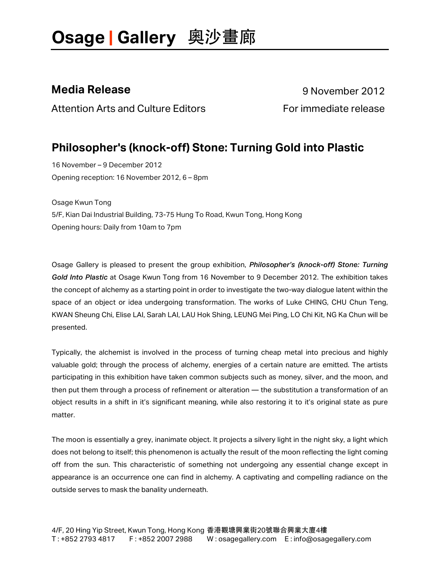Attention Arts and Culture Editors Formmediate release

**Media Release** 9 November 2012

#### **Philosopher's (knock-off) Stone: Turning Gold into Plastic**

16 November – 9 December 2012 Opening reception: 16 November 2012, 6 – 8pm

Osage Kwun Tong 5/F, Kian Dai Industrial Building, 73-75 Hung To Road, Kwun Tong, Hong Kong Opening hours: Daily from 10am to 7pm

Osage Gallery is pleased to present the group exhibition, *Philosopher's (knock-off) Stone: Turning Gold Into Plastic* at Osage Kwun Tong from 16 November to 9 December 2012. The exhibition takes the concept of alchemy as a starting point in order to investigate the two-way dialogue latent within the space of an object or idea undergoing transformation. The works of Luke CHING, CHU Chun Teng, KWAN Sheung Chi, Elise LAI, Sarah LAI, LAU Hok Shing, LEUNG Mei Ping, LO Chi Kit, NG Ka Chun will be presented.

Typically, the alchemist is involved in the process of turning cheap metal into precious and highly valuable gold; through the process of alchemy, energies of a certain nature are emitted. The artists participating in this exhibition have taken common subjects such as money, silver, and the moon, and then put them through a process of refinement or alteration — the substitution a transformation of an object results in a shift in it's significant meaning, while also restoring it to it's original state as pure matter.

The moon is essentially a grey, inanimate object. It projects a silvery light in the night sky, a light which does not belong to itself; this phenomenon is actually the result of the moon reflecting the light coming off from the sun. This characteristic of something not undergoing any essential change except in appearance is an occurrence one can find in alchemy. A captivating and compelling radiance on the outside serves to mask the banality underneath.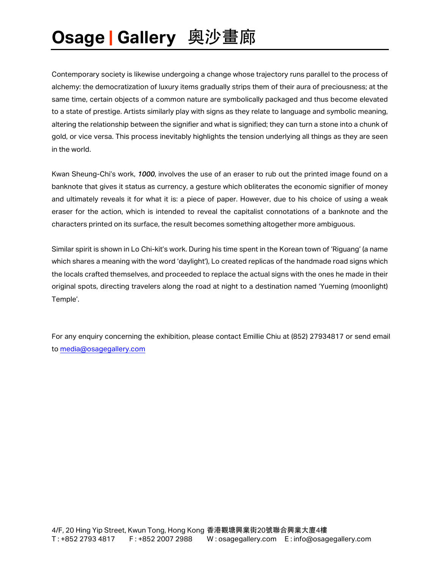Contemporary society is likewise undergoing a change whose trajectory runs parallel to the process of alchemy: the democratization of luxury items gradually strips them of their aura of preciousness; at the same time, certain objects of a common nature are symbolically packaged and thus become elevated to a state of prestige. Artists similarly play with signs as they relate to language and symbolic meaning, altering the relationship between the signifier and what is signified; they can turn a stone into a chunk of gold, or vice versa. This process inevitably highlights the tension underlying all things as they are seen in the world.

Kwan Sheung-Chi's work, *1000*, involves the use of an eraser to rub out the printed image found on a banknote that gives it status as currency, a gesture which obliterates the economic signifier of money and ultimately reveals it for what it is: a piece of paper. However, due to his choice of using a weak eraser for the action, which is intended to reveal the capitalist connotations of a banknote and the characters printed on its surface, the result becomes something altogether more ambiguous.

Similar spirit is shown in Lo Chi-kit's work. During his time spent in the Korean town of 'Riguang' (a name which shares a meaning with the word 'daylight'), Lo created replicas of the handmade road signs which the locals crafted themselves, and proceeded to replace the actual signs with the ones he made in their original spots, directing travelers along the road at night to a destination named 'Yueming (moonlight) Temple'.

For any enquiry concerning the exhibition, please contact Emillie Chiu at (852) 27934817 or send email to media@osagegallery.com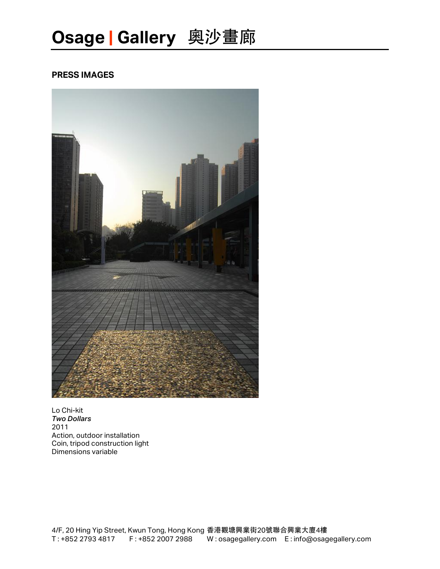#### **PRESS IMAGES**



Lo Chi-kit *Two Dollars* 2011 Action, outdoor installation Coin, tripod construction light Dimensions variable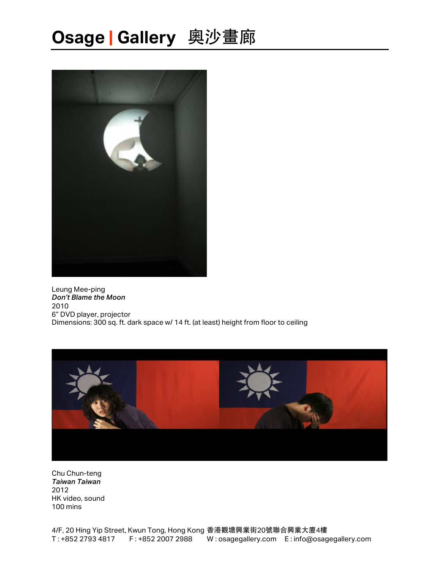

Leung Mee-ping *Don't Blame the Moon* 2010 6" DVD player, projector Dimensions: 300 sq. ft. dark space w/ 14 ft. (at least) height from floor to ceiling



Chu Chun-teng *Taiwan Taiwan* 2012 HK video, sound 100 mins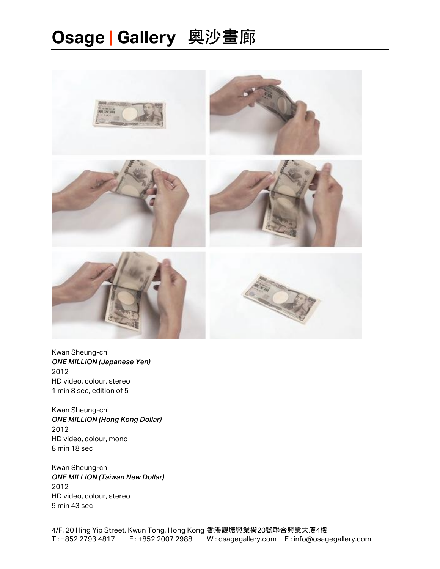

Kwan Sheung-chi *ONE MILLION (Japanese Yen)* 2012 HD video, colour, stereo 1 min 8 sec, edition of 5

Kwan Sheung-chi *ONE MILLION (Hong Kong Dollar)* 2012 HD video, colour, mono 8 min 18 sec

Kwan Sheung-chi *ONE MILLION (Taiwan New Dollar)* 2012 HD video, colour, stereo 9 min 43 sec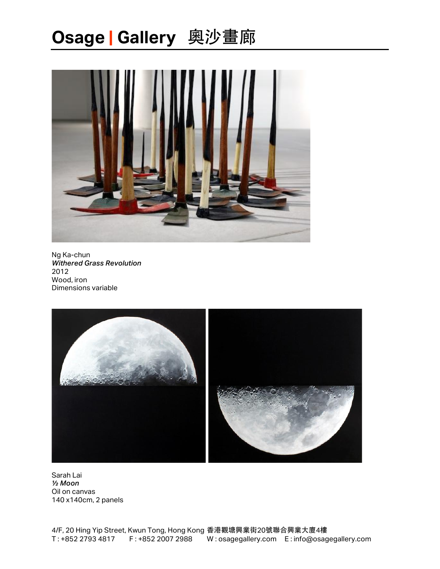

Ng Ka-chun *Withered Grass Revolution* 2012 Wood, iron Dimensions variable



Sarah Lai *½ Moon* Oil on canvas 140 x140cm, 2 panels